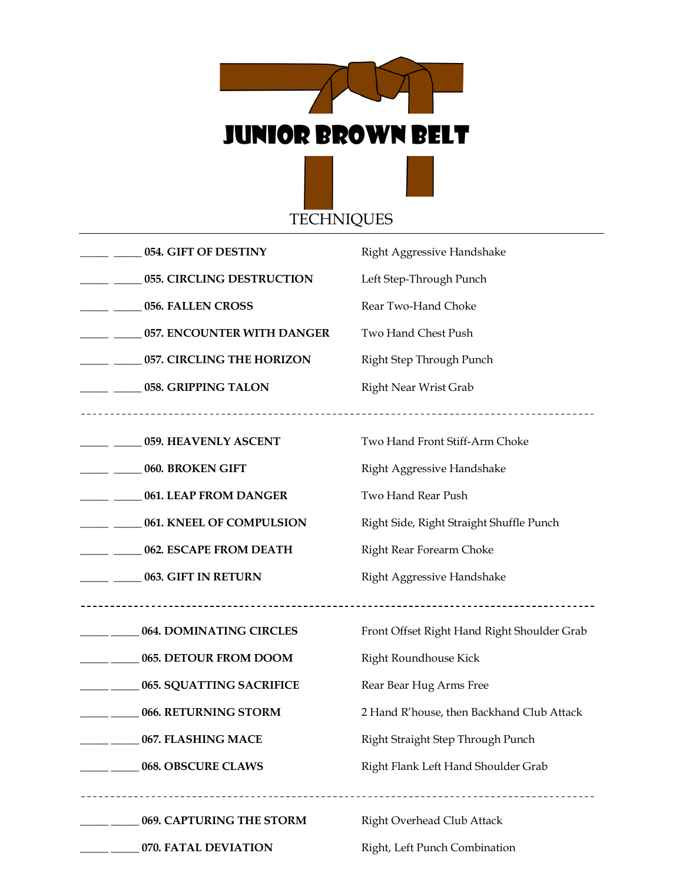

|                                                   | 054. GIFT OF DESTINY               | Right Aggressive Handshake                  |
|---------------------------------------------------|------------------------------------|---------------------------------------------|
|                                                   | 055. CIRCLING DESTRUCTION          | Left Step-Through Punch                     |
| $\frac{1}{2}$ and $\frac{1}{2}$                   | 056. FALLEN CROSS                  | Rear Two-Hand Choke                         |
| $\frac{1}{2}$ and $\frac{1}{2}$ and $\frac{1}{2}$ | 057. ENCOUNTER WITH DANGER         | Two Hand Chest Push                         |
| $\frac{1}{2}$ and $\frac{1}{2}$                   | 057. CIRCLING THE HORIZON          | Right Step Through Punch                    |
|                                                   | ___ _____ 058. GRIPPING TALON      | <b>Right Near Wrist Grab</b>                |
|                                                   |                                    |                                             |
|                                                   | ___ _____ 059. HEAVENLY ASCENT     | Two Hand Front Stiff-Arm Choke              |
| ___ _____ 060. BROKEN GIFT                        |                                    | Right Aggressive Handshake                  |
|                                                   | ___ _____ 061. LEAP FROM DANGER    | Two Hand Rear Push                          |
|                                                   | ___ _____ 061. KNEEL OF COMPULSION | Right Side, Right Straight Shuffle Punch    |
|                                                   | ___ _____ 062. ESCAPE FROM DEATH   | Right Rear Forearm Choke                    |
|                                                   | ___ _____ 063. GIFT IN RETURN      | Right Aggressive Handshake                  |
|                                                   |                                    |                                             |
|                                                   | 064. DOMINATING CIRCLES            | Front Offset Right Hand Right Shoulder Grab |
|                                                   | 065. DETOUR FROM DOOM              | Right Roundhouse Kick                       |
|                                                   | __ _____ 065. SQUATTING SACRIFICE  | Rear Bear Hug Arms Free                     |
|                                                   | 066. RETURNING STORM               | 2 Hand R'house, then Backhand Club Attack   |
|                                                   | 067. FLASHING MACE                 | Right Straight Step Through Punch           |
|                                                   | 068. OBSCURE CLAWS                 | Right Flank Left Hand Shoulder Grab         |
|                                                   |                                    |                                             |
|                                                   | 069. CAPTURING THE STORM           | Right Overhead Club Attack                  |
|                                                   | 070. FATAL DEVIATION               | Right, Left Punch Combination               |